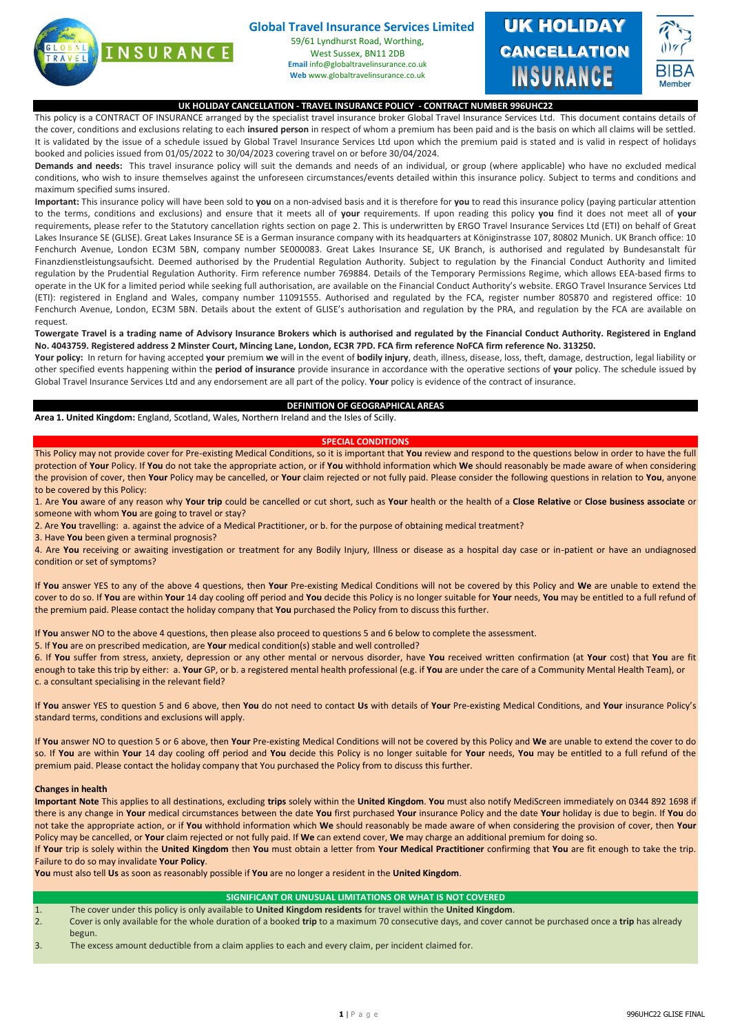

# **Global Travel Insurance Services Limited**

59/61 Lyndhurst Road, Worthing, West Sussex, BN11 2DB **Email** info@globaltravelinsurance.co.uk **Web** www.globaltravelinsurance.co.uk



#### **UK HOLIDAY CANCELLATION - TRAVEL INSURANCE POLICY - CONTRACT NUMBER 996UHC22**

This policy is a CONTRACT OF INSURANCE arranged by the specialist travel insurance broker Global Travel Insurance Services Ltd. This document contains details of the cover, conditions and exclusions relating to each **insured person** in respect of whom a premium has been paid and is the basis on which all claims will be settled. It is validated by the issue of a schedule issued by Global Travel Insurance Services Ltd upon which the premium paid is stated and is valid in respect of holidays booked and policies issued from 01/05/2022 to 30/04/2023 covering travel on or before 30/04/2024.

**Demands and needs:** This travel insurance policy will suit the demands and needs of an individual, or group (where applicable) who have no excluded medical conditions, who wish to insure themselves against the unforeseen circumstances/events detailed within this insurance policy. Subject to terms and conditions and maximum specified sums insured.

**Important:** This insurance policy will have been sold to **you** on a non-advised basis and it is therefore for **you** to read this insurance policy (paying particular attention to the terms, conditions and exclusions) and ensure that it meets all of **your** requirements. If upon reading this policy **you** find it does not meet all of **your** requirements, please refer to the Statutory cancellation rights section on page 2. This is underwritten by ERGO Travel Insurance Services Ltd (ETI) on behalf of Great Lakes Insurance SE (GLISE). Great Lakes Insurance SE is a German insurance company with its headquarters at Königinstrasse 107, 80802 Munich. UK Branch office: 10 Fenchurch Avenue, London EC3M 5BN, company number SE000083. Great Lakes Insurance SE, UK Branch, is authorised and regulated by Bundesanstalt für Finanzdienstleistungsaufsicht. Deemed authorised by the Prudential Regulation Authority. Subject to regulation by the Financial Conduct Authority and limited regulation by the Prudential Regulation Authority. Firm reference number 769884. Details of the Temporary Permissions Regime, which allows EEA-based firms to operate in the UK for a limited period while seeking full authorisation, are available on the Financial Conduct Authority's website. ERGO Travel Insurance Services Ltd (ETI): registered in England and Wales, company number 11091555. Authorised and regulated by the FCA, register number 805870 and registered office: 10 Fenchurch Avenue, London, EC3M 5BN. Details about the extent of GLISE's authorisation and regulation by the PRA, and regulation by the FCA are available on request.

### **Towergate Travel is a trading name of Advisory Insurance Brokers which is authorised and regulated by the Financial Conduct Authority. Registered in England No. 4043759. Registered address 2 Minster Court, Mincing Lane, London, EC3R 7PD. FCA firm reference NoFCA firm reference No. 313250.**

**Your policy:** In return for having accepted **your** premium **we** will in the event of **bodily injury**, death, illness, disease, loss, theft, damage, destruction, legal liability or other specified events happening within the **period of insurance** provide insurance in accordance with the operative sections of **your** policy. The schedule issued by Global Travel Insurance Services Ltd and any endorsement are all part of the policy. **Your** policy is evidence of the contract of insurance.

#### **DEFINITION OF GEOGRAPHICAL AREAS**

**Area 1. United Kingdom:** England, Scotland, Wales, Northern Ireland and the Isles of Scilly.

#### **SPECIAL CONDITIONS**

This Policy may not provide cover for Pre-existing Medical Conditions, so it is important that **You** review and respond to the questions below in order to have the full protection of **Your** Policy. If **You** do not take the appropriate action, or if **You** withhold information which **We** should reasonably be made aware of when considering the provision of cover, then **Your** Policy may be cancelled, or **Your** claim rejected or not fully paid. Please consider the following questions in relation to **You**, anyone to be covered by this Policy:

1. Are **You** aware of any reason why **Your trip** could be cancelled or cut short, such as **Your** health or the health of a **Close Relative** or **Close business associate** or someone with whom **You** are going to travel or stay?

2. Are **You** travelling: a. against the advice of a Medical Practitioner, or b. for the purpose of obtaining medical treatment?

3. Have **You** been given a terminal prognosis?

4. Are **You** receiving or awaiting investigation or treatment for any Bodily Injury, Illness or disease as a hospital day case or in-patient or have an undiagnosed condition or set of symptoms?

If **You** answer YES to any of the above 4 questions, then **Your** Pre-existing Medical Conditions will not be covered by this Policy and **We** are unable to extend the cover to do so. If **You** are within **Your** 14 day cooling off period and **You** decide this Policy is no longer suitable for **Your** needs, **You** may be entitled to a full refund of the premium paid. Please contact the holiday company that **You** purchased the Policy from to discuss this further.

If **You** answer NO to the above 4 questions, then please also proceed to questions 5 and 6 below to complete the assessment.

5. If **You** are on prescribed medication, are **Your** medical condition(s) stable and well controlled?

6. If **You** suffer from stress, anxiety, depression or any other mental or nervous disorder, have **You** received written confirmation (at **Your** cost) that **You** are fit enough to take this trip by either: a. **Your** GP, or b. a registered mental health professional (e.g. if **You** are under the care of a Community Mental Health Team), or c. a consultant specialising in the relevant field?

If **You** answer YES to question 5 and 6 above, then **You** do not need to contact **Us** with details of **Your** Pre-existing Medical Conditions, and **Your** insurance Policy's standard terms, conditions and exclusions will apply.

If **You** answer NO to question 5 or 6 above, then **Your** Pre-existing Medical Conditions will not be covered by this Policy and **We** are unable to extend the cover to do so. If **You** are within **Your** 14 day cooling off period and **You** decide this Policy is no longer suitable for **Your** needs, **You** may be entitled to a full refund of the premium paid. Please contact the holiday company that You purchased the Policy from to discuss this further.

## **Changes in health**

**Important Note** This applies to all destinations, excluding **trips** solely within the **United Kingdom**. **You** must also notify MediScreen immediately on 0344 892 1698 if there is any change in **Your** medical circumstances between the date **You** first purchased **Your** insurance Policy and the date **Your** holiday is due to begin. If **You** do not take the appropriate action, or if **You** withhold information which **We** should reasonably be made aware of when considering the provision of cover, then **Your**  Policy may be cancelled, or **Your** claim rejected or not fully paid. If **We** can extend cover, **We** may charge an additional premium for doing so.

If **Your** trip is solely within the **United Kingdom** then **You** must obtain a letter from **Your Medical Practitioner** confirming that **You** are fit enough to take the trip. Failure to do so may invalidate **Your Policy**.

**You** must also tell **Us** as soon as reasonably possible if **You** are no longer a resident in the **United Kingdom**.

## **SIGNIFICANT OR UNUSUAL LIMITATIONS OR WHAT IS NOT COVERED**

1. The cover under this policy is only available to **United Kingdom residents** for travel within the **United Kingdom**.

2. Cover is only available for the whole duration of a booked **trip** to a maximum 70 consecutive days, and cover cannot be purchased once a **trip** has already begun.

3. The excess amount deductible from a claim applies to each and every claim, per incident claimed for.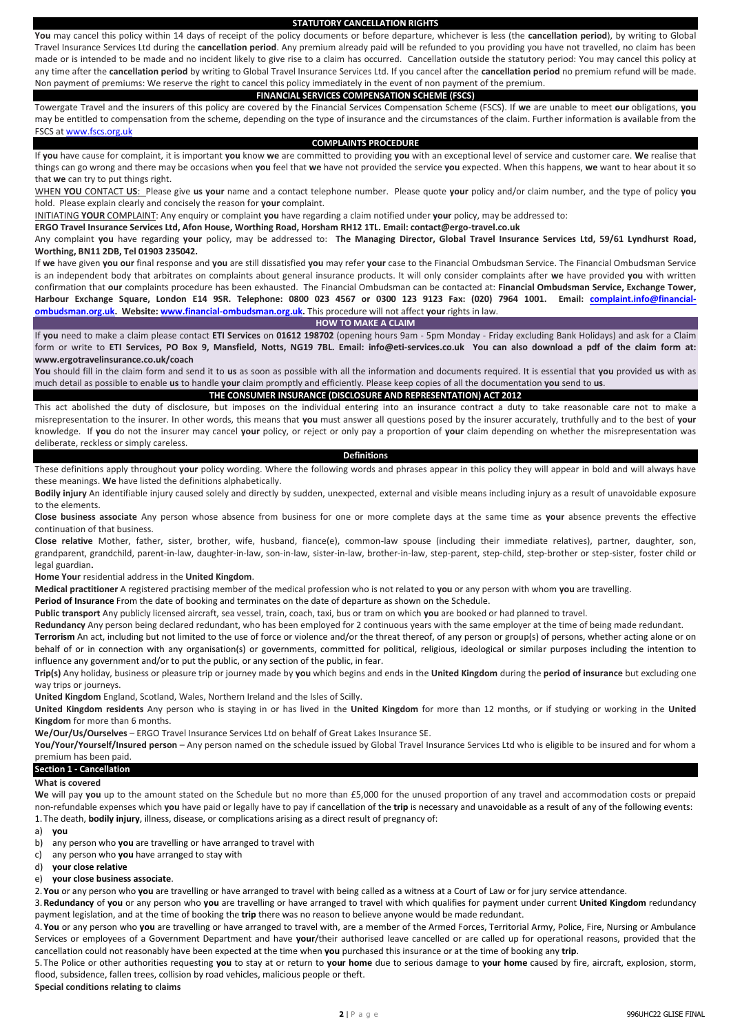#### **STATUTORY CANCELLATION RIGHTS**

**You** may cancel this policy within 14 days of receipt of the policy documents or before departure, whichever is less (the **cancellation period**), by writing to Global Travel Insurance Services Ltd during the **cancellation period**. Any premium already paid will be refunded to you providing you have not travelled, no claim has been made or is intended to be made and no incident likely to give rise to a claim has occurred. Cancellation outside the statutory period: You may cancel this policy at any time after the **cancellation period** by writing to Global Travel Insurance Services Ltd. If you cancel after the **cancellation period** no premium refund will be made. Non payment of premiums: We reserve the right to cancel this policy immediately in the event of non payment of the premium.

## **FINANCIAL SERVICES COMPENSATION SCHEME (FSCS)**

Towergate Travel and the insurers of this policy are covered by the Financial Services Compensation Scheme (FSCS). If **we** are unable to meet **our** obligations, **you**  may be entitled to compensation from the scheme, depending on the type of insurance and the circumstances of the claim. Further information is available from the FSCS a[t www.fscs.org.uk](http://www.fscs.org.uk/)

#### **COMPLAINTS PROCEDURE**

If **you** have cause for complaint, it is important **you** know **we** are committed to providing **you** with an exceptional level of service and customer care. **We** realise that things can go wrong and there may be occasions when **you** feel that **we** have not provided the service **you** expected. When this happens, **we** want to hear about it so that **we** can try to put things right.

WHEN **YOU** CONTACT **US**: Please give **us your** name and a contact telephone number. Please quote **your** policy and/or claim number, and the type of policy **you** hold. Please explain clearly and concisely the reason for **your** complaint.

INITIATING **YOUR** COMPLAINT: Any enquiry or complaint **you** have regarding a claim notified under **your** policy, may be addressed to:

**ERGO Travel Insurance Services Ltd, Afon House, Worthing Road, Horsham RH12 1TL. Email: contact@ergo-travel.co.uk**

Any complaint **you** have regarding **your** policy, may be addressed to: **The Managing Director, Global Travel Insurance Services Ltd, 59/61 Lyndhurst Road, Worthing, BN11 2DB, Tel 01903 235042.**

If **we** have given **you our** final response and **you** are still dissatisfied **you** may refer **your** case to the Financial Ombudsman Service. The Financial Ombudsman Service is an independent body that arbitrates on complaints about general insurance products. It will only consider complaints after **we** have provided **you** with written confirmation that **our** complaints procedure has been exhausted. The Financial Ombudsman can be contacted at: **Financial Ombudsman Service, Exchange Tower, Harbour Exchange Square, London E14 9SR. Telephone: 0800 023 4567 or 0300 123 9123 Fax: (020) 7964 1001. Email: [complaint.info@financial](mailto:complaint.info@financial-ombudsman.org.uk)[ombudsman.org.uk.](mailto:complaint.info@financial-ombudsman.org.uk) Website[: www.financial-ombudsman.org.uk.](http://www.financial-ombudsman.org.uk/)** This procedure will not affect **your** rights in law.

**HOW TO MAKE A CLAIM**

If **you** need to make a claim please contact **ETI Services** on **01612 198702** (opening hours 9am - 5pm Monday - Friday excluding Bank Holidays) and ask for a Claim form or write to **ETI Services, PO Box 9, Mansfield, Notts, NG19 7BL. Email: info@eti-services.co.uk You can also download a pdf of the claim form at: www.ergotravelinsurance.co.uk/coach**

**You** should fill in the claim form and send it to **us** as soon as possible with all the information and documents required. It is essential that **you** provided **us** with as much detail as possible to enable **us** to handle **your** claim promptly and efficiently. Please keep copies of all the documentation **you** send to **us**.

## **THE CONSUMER INSURANCE (DISCLOSURE AND REPRESENTATION) ACT 2012**

This act abolished the duty of disclosure, but imposes on the individual entering into an insurance contract a duty to take reasonable care not to make a misrepresentation to the insurer. In other words, this means that **you** must answer all questions posed by the insurer accurately, truthfully and to the best of **your** knowledge. If **you** do not the insurer may cancel **your** policy, or reject or only pay a proportion of **your** claim depending on whether the misrepresentation was deliberate, reckless or simply careless.

#### **Definitions**

These definitions apply throughout **your** policy wording. Where the following words and phrases appear in this policy they will appear in bold and will always have these meanings. **We** have listed the definitions alphabetically.

**Bodily injury** An identifiable injury caused solely and directly by sudden, unexpected, external and visible means including injury as a result of unavoidable exposure to the elements.

**Close business associate** Any person whose absence from business for one or more complete days at the same time as **your** absence prevents the effective continuation of that business.

**Close relative** Mother, father, sister, brother, wife, husband, fiance(e), common-law spouse (including their immediate relatives), partner, daughter, son, grandparent, grandchild, parent-in-law, daughter-in-law, son-in-law, sister-in-law, brother-in-law, step-parent, step-child, step-brother or step-sister, foster child or legal guardian**.**

**Home Your** residential address in the **United Kingdom**.

**Medical practitioner** A registered practising member of the medical profession who is not related to **you** or any person with whom **you** are travelling.

**Period of Insurance** From the date of booking and terminates on the date of departure as shown on the Schedule.

**Public transport** Any publicly licensed aircraft, sea vessel, train, coach, taxi, bus or tram on which **you** are booked or had planned to travel.

**Redundancy** Any person being declared redundant, who has been employed for 2 continuous years with the same employer at the time of being made redundant.

**Terrorism** An act, including but not limited to the use of force or violence and/or the threat thereof, of any person or group(s) of persons, whether acting alone or on behalf of or in connection with any organisation(s) or governments, committed for political, religious, ideological or similar purposes including the intention to influence any government and/or to put the public, or any section of the public, in fear.

**Trip(s)** Any holiday, business or pleasure trip or journey made by **you** which begins and ends in the **United Kingdom** during the **period of insurance** but excluding one way trips or journeys.

**United Kingdom** England, Scotland, Wales, Northern Ireland and the Isles of Scilly.

**United Kingdom residents** Any person who is staying in or has lived in the **United Kingdom** for more than 12 months, or if studying or working in the **United Kingdom** for more than 6 months.

**We/Our/Us/Ourselves** – ERGO Travel Insurance Services Ltd on behalf of Great Lakes Insurance SE.

**You/Your/Yourself/Insured person** – Any person named on the schedule issued by Global Travel Insurance Services Ltd who is eligible to be insured and for whom a premium has been paid.

**Section 1 - Cancellation**

#### **What is covered**

**We** will pay **you** up to the amount stated on the Schedule but no more than £5,000 for the unused proportion of any travel and accommodation costs or prepaid non-refundable expenses which **you** have paid or legally have to pay if cancellation of the **trip** is necessary and unavoidable as a result of any of the following events: 1.The death, **bodily injury**, illness, disease, or complications arising as a direct result of pregnancy of:

a) **you**

- b) any person who **you** are travelling or have arranged to travel with
- c) any person who **you** have arranged to stay with
- d) **your close relative**
- e) **your close business associate**.

2.**You** or any person who **you** are travelling or have arranged to travel with being called as a witness at a Court of Law or for jury service attendance.

3.**Redundancy** of **you** or any person who **you** are travelling or have arranged to travel with which qualifies for payment under current **United Kingdom** redundancy payment legislation, and at the time of booking the **trip** there was no reason to believe anyone would be made redundant.

4.**You** or any person who **you** are travelling or have arranged to travel with, are a member of the Armed Forces, Territorial Army, Police, Fire, Nursing or Ambulance Services or employees of a Government Department and have **your**/their authorised leave cancelled or are called up for operational reasons, provided that the cancellation could not reasonably have been expected at the time when **you** purchased this insurance or at the time of booking any **trip**.

5.The Police or other authorities requesting **you** to stay at or return to **your home** due to serious damage to **your home** caused by fire, aircraft, explosion, storm, flood, subsidence, fallen trees, collision by road vehicles, malicious people or theft.

**Special conditions relating to claims**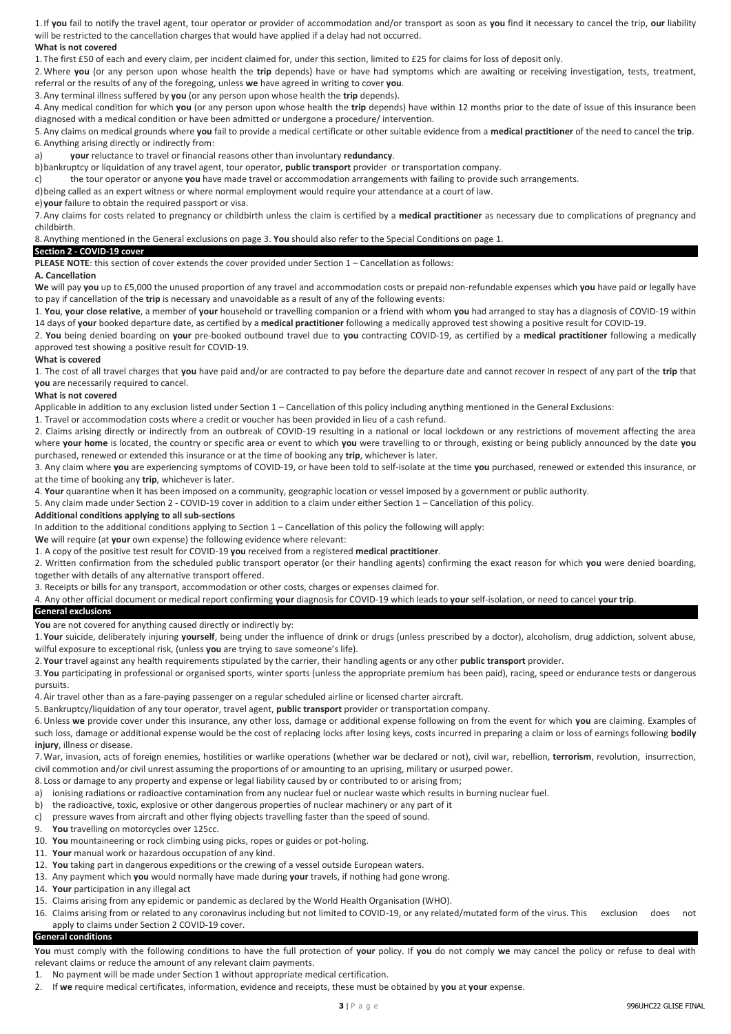1.If **you** fail to notify the travel agent, tour operator or provider of accommodation and/or transport as soon as **you** find it necessary to cancel the trip, **our** liability will be restricted to the cancellation charges that would have applied if a delay had not occurred. **What is not covered**

1.The first £50 of each and every claim, per incident claimed for, under this section, limited to £25 for claims for loss of deposit only.

2.Where **you** (or any person upon whose health the **trip** depends) have or have had symptoms which are awaiting or receiving investigation, tests, treatment, referral or the results of any of the foregoing, unless **we** have agreed in writing to cover **you**.

3.Any terminal illness suffered by **you** (or any person upon whose health the **trip** depends).

4.Any medical condition for which **you** (or any person upon whose health the **trip** depends) have within 12 months prior to the date of issue of this insurance been diagnosed with a medical condition or have been admitted or undergone a procedure/ intervention.

5.Any claims on medical grounds where **you** fail to provide a medical certificate or other suitable evidence from a **medical practitioner** of the need to cancel the **trip**. 6.Anything arising directly or indirectly from:

a) **your** reluctance to travel or financial reasons other than involuntary **redundancy**.

b)bankruptcy or liquidation of any travel agent, tour operator, **public transport** provider or transportation company. c) the tour operator or anyone **you** have made travel or accommodation arrangements with failing to provide such arrangements.

d)being called as an expert witness or where normal employment would require your attendance at a court of law.

e)**your** failure to obtain the required passport or visa.

7.Any claims for costs related to pregnancy or childbirth unless the claim is certified by a **medical practitioner** as necessary due to complications of pregnancy and childbirth.

## 8.Anything mentioned in the General exclusions on page 3. **You** should also refer to the Special Conditions on page 1.

#### **Section 2 - COVID-19 cover**

**PLEASE NOTE**: this section of cover extends the cover provided under Section 1 – Cancellation as follows:

### **A. Cancellation**

**We** will pay **you** up to £5,000 the unused proportion of any travel and accommodation costs or prepaid non-refundable expenses which **you** have paid or legally have to pay if cancellation of the **trip** is necessary and unavoidable as a result of any of the following events:

1. **You**, **your close relative**, a member of **your** household or travelling companion or a friend with whom **you** had arranged to stay has a diagnosis of COVID-19 within 14 days of **your** booked departure date, as certified by a **medical practitioner** following a medically approved test showing a positive result for COVID-19.

2. **You** being denied boarding on **your** pre-booked outbound travel due to **you** contracting COVID-19, as certified by a **medical practitioner** following a medically approved test showing a positive result for COVID-19.

#### **What is covered**

1. The cost of all travel charges that **you** have paid and/or are contracted to pay before the departure date and cannot recover in respect of any part of the **trip** that **you** are necessarily required to cancel.

#### **What is not covered**

Applicable in addition to any exclusion listed under Section 1 – Cancellation of this policy including anything mentioned in the General Exclusions:

1. Travel or accommodation costs where a credit or voucher has been provided in lieu of a cash refund.

2. Claims arising directly or indirectly from an outbreak of COVID-19 resulting in a national or local lockdown or any restrictions of movement affecting the area where **your home** is located, the country or specific area or event to which **you** were travelling to or through, existing or being publicly announced by the date **you**  purchased, renewed or extended this insurance or at the time of booking any **trip**, whichever is later.

3. Any claim where **you** are experiencing symptoms of COVID-19, or have been told to self-isolate at the time **you** purchased, renewed or extended this insurance, or at the time of booking any **trip**, whichever is later.

4. **Your** quarantine when it has been imposed on a community, geographic location or vessel imposed by a government or public authority.

5. Any claim made under Section 2 - COVID-19 cover in addition to a claim under either Section 1 – Cancellation of this policy.

#### **Additional conditions applying to all sub-sections**

In addition to the additional conditions applying to Section 1 – Cancellation of this policy the following will apply:

We will require (at your own expense) the following evidence where relevant:

1. A copy of the positive test result for COVID-19 **you** received from a registered **medical practitioner**.

2. Written confirmation from the scheduled public transport operator (or their handling agents) confirming the exact reason for which **you** were denied boarding, together with details of any alternative transport offered.

3. Receipts or bills for any transport, accommodation or other costs, charges or expenses claimed for.

4. Any other official document or medical report confirming **your** diagnosis for COVID-19 which leads to **your** self-isolation, or need to cancel **your trip**.

## **General exclusions**

**You** are not covered for anything caused directly or indirectly by:

1.**Your** suicide, deliberately injuring **yourself**, being under the influence of drink or drugs (unless prescribed by a doctor), alcoholism, drug addiction, solvent abuse, wilful exposure to exceptional risk, (unless **you** are trying to save someone's life).

2.**Your** travel against any health requirements stipulated by the carrier, their handling agents or any other **public transport** provider.

3.**You** participating in professional or organised sports, winter sports (unless the appropriate premium has been paid), racing, speed or endurance tests or dangerous pursuits.

4.Air travel other than as a fare-paying passenger on a regular scheduled airline or licensed charter aircraft.

5.Bankruptcy/liquidation of any tour operator, travel agent, **public transport** provider or transportation company.

6.Unless **we** provide cover under this insurance, any other loss, damage or additional expense following on from the event for which **you** are claiming. Examples of such loss, damage or additional expense would be the cost of replacing locks after losing keys, costs incurred in preparing a claim or loss of earnings following **bodily injury**, illness or disease.

7.War, invasion, acts of foreign enemies, hostilities or warlike operations (whether war be declared or not), civil war, rebellion, **terrorism**, revolution, insurrection, civil commotion and/or civil unrest assuming the proportions of or amounting to an uprising, military or usurped power.

8. Loss or damage to any property and expense or legal liability caused by or contributed to or arising from;

a) ionising radiations or radioactive contamination from any nuclear fuel or nuclear waste which results in burning nuclear fuel.

- b) the radioactive, toxic, explosive or other dangerous properties of nuclear machinery or any part of it
- c) pressure waves from aircraft and other flying objects travelling faster than the speed of sound.
- 9. **You** travelling on motorcycles over 125cc.
- 10. **You** mountaineering or rock climbing using picks, ropes or guides or pot-holing.
- 11. **Your** manual work or hazardous occupation of any kind.
- 12. **You** taking part in dangerous expeditions or the crewing of a vessel outside European waters.
- 13. Any payment which **you** would normally have made during **your** travels, if nothing had gone wrong.
- 14. **Your** participation in any illegal act
- 15. Claims arising from any epidemic or pandemic as declared by the World Health Organisation (WHO).
- 16. Claims arising from or related to any coronavirus including but not limited to COVID-19, or any related/mutated form of the virus. This exclusion does not apply to claims under Section 2 COVID-19 cover.

#### **General conditions**

**You** must comply with the following conditions to have the full protection of **your** policy. If **you** do not comply **we** may cancel the policy or refuse to deal with relevant claims or reduce the amount of any relevant claim payments.

- 1. No payment will be made under Section 1 without appropriate medical certification.
- 2. If **we** require medical certificates, information, evidence and receipts, these must be obtained by **you** at **your** expense.